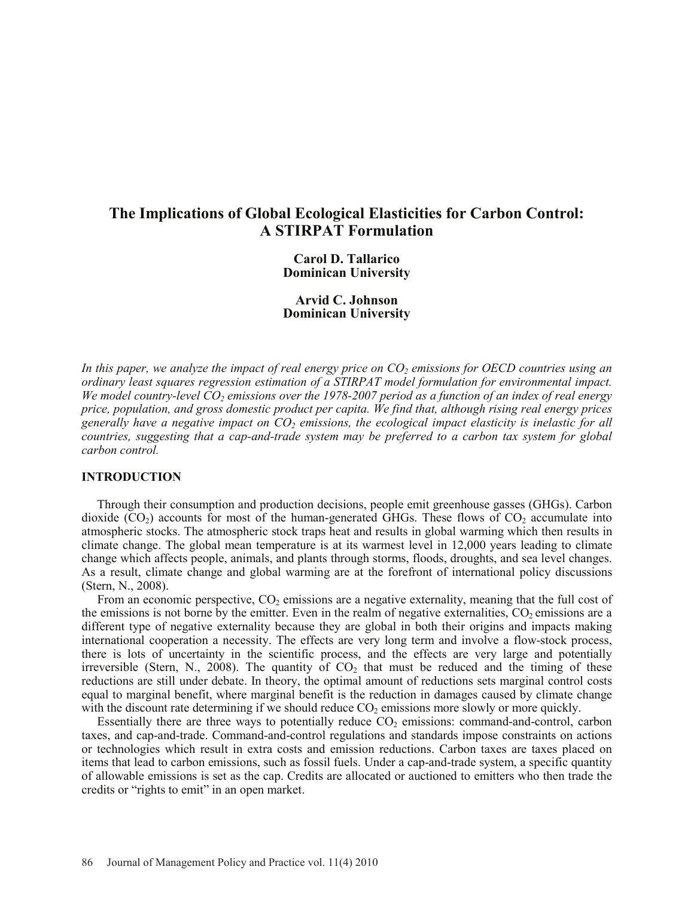# **The Implications of Global Ecological Elasticities for Carbon Control: A STIRPAT Formulation**

**Carol D. Tallarico Dominican University**

**Arvid C. Johnson Dominican University**

In this paper, we analyze the impact of real energy price on  $CO_2$  emissions for OECD countries using an *ordinary least squares regression estimation of a STIRPAT model formulation for environmental impact. We model country-level*  $CO<sub>2</sub>$  *emissions over the 1978-2007 period as a function of an index of real energy price, population, and gross domestic product per capita. We find that, although rising real energy prices generally have a negative impact on CO2 emissions, the ecological impact elasticity is inelastic for all countries, suggesting that a cap-and-trade system may be preferred to a carbon tax system for global carbon control.*

### **INTRODUCTION**

Through their consumption and production decisions, people emit greenhouse gasses (GHGs). Carbon dioxide  $(CO_2)$  accounts for most of the human-generated GHGs. These flows of  $CO_2$  accumulate into atmospheric stocks. The atmospheric stock traps heat and results in global warming which then results in climate change. The global mean temperature is at its warmest level in 12,000 years leading to climate change which affects people, animals, and plants through storms, floods, droughts, and sea level changes. As a result, climate change and global warming are at the forefront of international policy discussions (Stern, N., 2008).

From an economic perspective, CO<sub>2</sub> emissions are a negative externality, meaning that the full cost of the emissions is not borne by the emitter. Even in the realm of negative externalities, CO<sub>2</sub> emissions are a different type of negative externality because they are global in both their origins and impacts making international cooperation a necessity. The effects are very long term and involve a flow-stock process, there is lots of uncertainty in the scientific process, and the effects are very large and potentially irreversible (Stern, N., 2008). The quantity of  $CO<sub>2</sub>$  that must be reduced and the timing of these reductions are still under debate. In theory, the optimal amount of reductions sets marginal control costs equal to marginal benefit, where marginal benefit is the reduction in damages caused by climate change with the discount rate determining if we should reduce  $CO<sub>2</sub>$  emissions more slowly or more quickly.

Essentially there are three ways to potentially reduce  $CO<sub>2</sub>$  emissions: command-and-control, carbon taxes, and cap-and-trade. Command-and-control regulations and standards impose constraints on actions or technologies which result in extra costs and emission reductions. Carbon taxes are taxes placed on items that lead to carbon emissions, such as fossil fuels. Under a cap-and-trade system, a specific quantity of allowable emissions is set as the cap. Credits are allocated or auctioned to emitters who then trade the credits or "rights to emit" in an open market.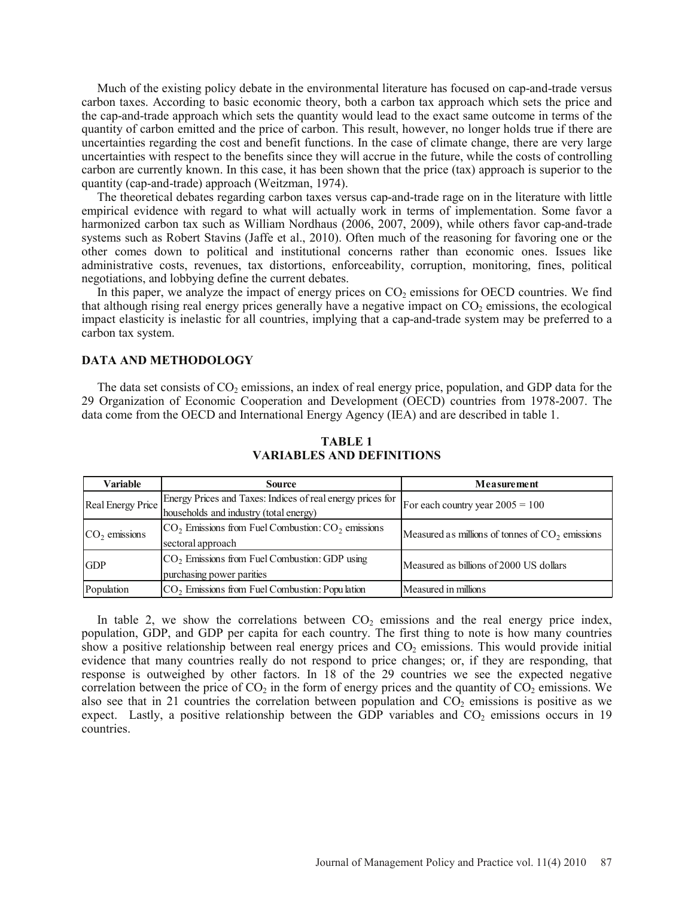Much of the existing policy debate in the environmental literature has focused on cap-and-trade versus carbon taxes. According to basic economic theory, both a carbon tax approach which sets the price and the cap-and-trade approach which sets the quantity would lead to the exact same outcome in terms of the quantity of carbon emitted and the price of carbon. This result, however, no longer holds true if there are uncertainties regarding the cost and benefit functions. In the case of climate change, there are very large uncertainties with respect to the benefits since they will accrue in the future, while the costs of controlling carbon are currently known. In this case, it has been shown that the price (tax) approach is superior to the quantity (cap-and-trade) approach (Weitzman, 1974).

The theoretical debates regarding carbon taxes versus cap-and-trade rage on in the literature with little empirical evidence with regard to what will actually work in terms of implementation. Some favor a harmonized carbon tax such as William Nordhaus (2006, 2007, 2009), while others favor cap-and-trade systems such as Robert Stavins (Jaffe et al., 2010). Often much of the reasoning for favoring one or the other comes down to political and institutional concerns rather than economic ones. Issues like administrative costs, revenues, tax distortions, enforceability, corruption, monitoring, fines, political negotiations, and lobbying define the current debates.

In this paper, we analyze the impact of energy prices on  $CO<sub>2</sub>$  emissions for OECD countries. We find that although rising real energy prices generally have a negative impact on  $CO<sub>2</sub>$  emissions, the ecological impact elasticity is inelastic for all countries, implying that a cap-and-trade system may be preferred to a carbon tax system.

### **DATA AND METHODOLOGY**

The data set consists of  $CO<sub>2</sub>$  emissions, an index of real energy price, population, and GDP data for the 29 Organization of Economic Cooperation and Development (OECD) countries from 1978-2007. The data come from the OECD and International Energy Agency (IEA) and are described in table 1.

| <b>Variable</b>   | <b>Source</b>                                                                                        | Measurement                                       |
|-------------------|------------------------------------------------------------------------------------------------------|---------------------------------------------------|
| Real Energy Price | Energy Prices and Taxes: Indices of real energy prices for<br>households and industry (total energy) | For each country year $2005 = 100$                |
| $CO2$ emissions   | $CO2$ Emissions from Fuel Combustion: $CO2$ emissions<br>sectoral approach                           | Measured as millions of tonnes of $CO2$ emissions |
| <b>GDP</b>        | $CO2$ Emissions from Fuel Combustion: GDP using<br>purchasing power parities                         | Measured as billions of 2000 US dollars           |
| Population        | $CO2$ Emissions from Fuel Combustion: Population                                                     | Measured in millions                              |

### **TABLE 1 VARIABLES AND DEFINITIONS**

In table 2, we show the correlations between  $CO<sub>2</sub>$  emissions and the real energy price index, population, GDP, and GDP per capita for each country. The first thing to note is how many countries show a positive relationship between real energy prices and  $CO<sub>2</sub>$  emissions. This would provide initial evidence that many countries really do not respond to price changes; or, if they are responding, that response is outweighed by other factors. In 18 of the 29 countries we see the expected negative correlation between the price of CO<sub>2</sub> in the form of energy prices and the quantity of  $CO<sub>2</sub>$  emissions. We also see that in 21 countries the correlation between population and  $CO<sub>2</sub>$  emissions is positive as we expect. Lastly, a positive relationship between the GDP variables and  $CO<sub>2</sub>$  emissions occurs in 19 countries.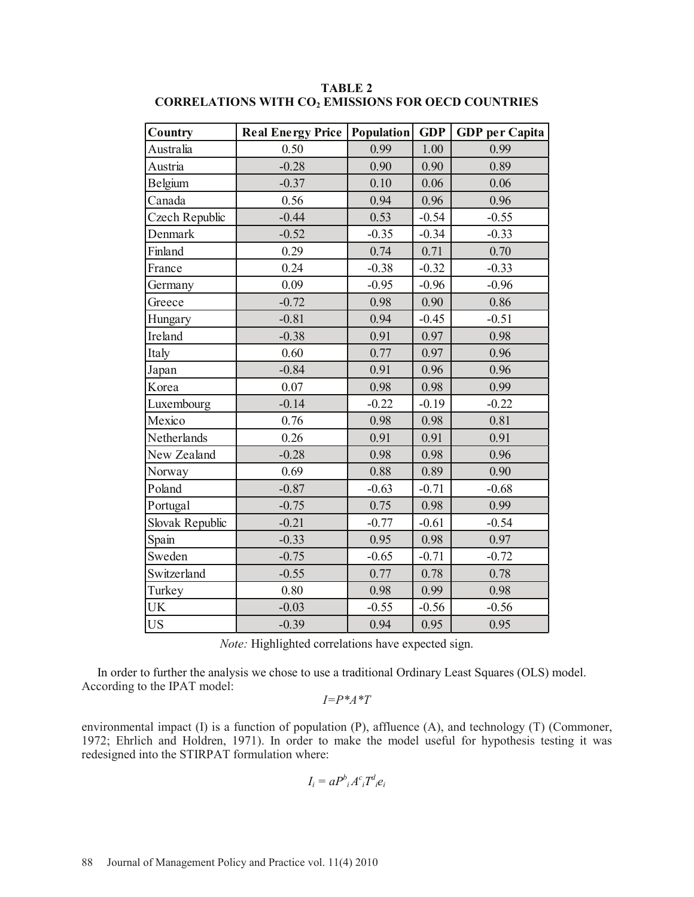| Country         | <b>Real Energy Price</b> | Population | <b>GDP</b> | <b>GDP</b> per Capita |
|-----------------|--------------------------|------------|------------|-----------------------|
| Australia       | 0.50                     | 0.99       | 1.00       | 0.99                  |
| Austria         | $-0.28$                  | 0.90       | 0.90       | 0.89                  |
| Belgium         | $-0.37$                  | 0.10       | 0.06       | 0.06                  |
| Canada          | 0.56                     | 0.94       | 0.96       | 0.96                  |
| Czech Republic  | $-0.44$                  | 0.53       | $-0.54$    | $-0.55$               |
| Denmark         | $-0.52$                  | $-0.35$    | $-0.34$    | $-0.33$               |
| Finland         | 0.29                     | 0.74       | 0.71       | 0.70                  |
| France          | 0.24                     | $-0.38$    | $-0.32$    | $-0.33$               |
| Germany         | 0.09                     | $-0.95$    | $-0.96$    | $-0.96$               |
| Greece          | $-0.72$                  | 0.98       | 0.90       | 0.86                  |
| Hungary         | $-0.81$                  | 0.94       | $-0.45$    | $-0.51$               |
| Ireland         | $-0.38$                  | 0.91       | 0.97       | 0.98                  |
| Italy           | 0.60                     | 0.77       | 0.97       | 0.96                  |
| Japan           | $-0.84$                  | 0.91       | 0.96       | 0.96                  |
| Korea           | 0.07                     | 0.98       | 0.98       | 0.99                  |
| Luxembourg      | $-0.14$                  | $-0.22$    | $-0.19$    | $-0.22$               |
| Mexico          | 0.76                     | 0.98       | 0.98       | 0.81                  |
| Netherlands     | 0.26                     | 0.91       | 0.91       | 0.91                  |
| New Zealand     | $-0.28$                  | 0.98       | 0.98       | 0.96                  |
| Norway          | 0.69                     | 0.88       | 0.89       | 0.90                  |
| Poland          | $-0.87$                  | $-0.63$    | $-0.71$    | $-0.68$               |
| Portugal        | $-0.75$                  | 0.75       | 0.98       | 0.99                  |
| Slovak Republic | $-0.21$                  | $-0.77$    | $-0.61$    | $-0.54$               |
| Spain           | $-0.33$                  | 0.95       | 0.98       | 0.97                  |
| Sweden          | $-0.75$                  | $-0.65$    | $-0.71$    | $-0.72$               |
| Switzerland     | $-0.55$                  | 0.77       | 0.78       | 0.78                  |
| Turkey          | 0.80                     | 0.98       | 0.99       | 0.98                  |
| <b>UK</b>       | $-0.03$                  | $-0.55$    | $-0.56$    | $-0.56$               |
| <b>US</b>       | $-0.39$                  | 0.94       | 0.95       | 0.95                  |

**TABLE 2 CORRELATIONS WITH CO2 EMISSIONS FOR OECD COUNTRIES**

*Note:* Highlighted correlations have expected sign.

 In order to further the analysis we chose to use a traditional Ordinary Least Squares (OLS) model. According to the IPAT model:

*I=P\*A\*T*

environmental impact (I) is a function of population (P), affluence (A), and technology (T) (Commoner, 1972; Ehrlich and Holdren, 1971). In order to make the model useful for hypothesis testing it was redesigned into the STIRPAT formulation where:

$$
I_i = a P^b{}_i A^c{}_i T^d{}_i e_i
$$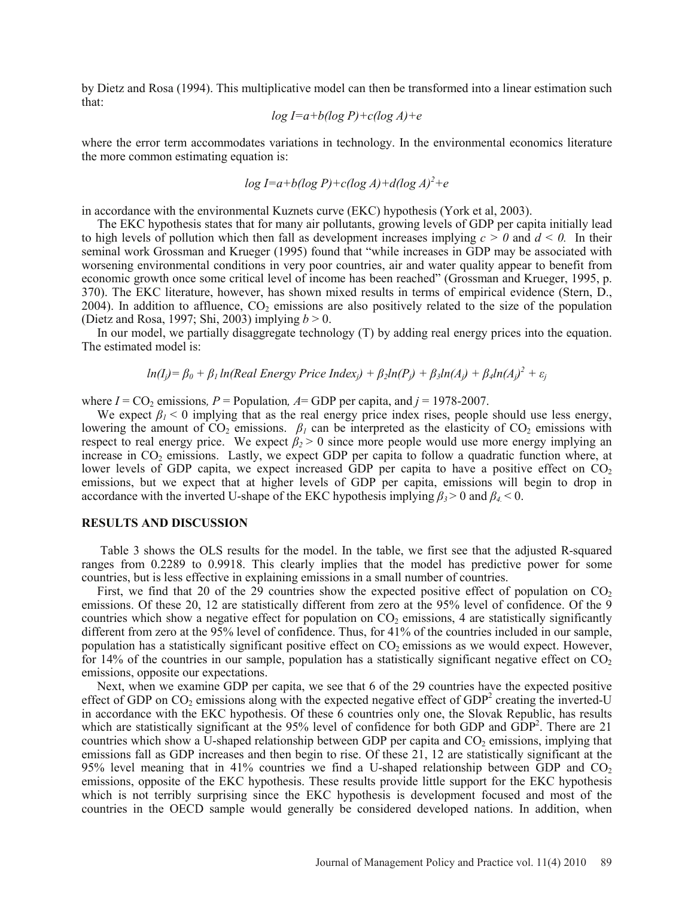by Dietz and Rosa (1994). This multiplicative model can then be transformed into a linear estimation such that:

$$
\log I = a + b(\log P) + c(\log A) + e
$$

where the error term accommodates variations in technology. In the environmental economics literature the more common estimating equation is:

$$
\log I = a + b(\log P) + c(\log A) + d(\log A)^2 + e
$$

in accordance with the environmental Kuznets curve (EKC) hypothesis (York et al, 2003).

The EKC hypothesis states that for many air pollutants, growing levels of GDP per capita initially lead to high levels of pollution which then fall as development increases implying  $c > 0$  and  $d < 0$ . In their seminal work Grossman and Krueger (1995) found that "while increases in GDP may be associated with worsening environmental conditions in very poor countries, air and water quality appear to benefit from economic growth once some critical level of income has been reached" (Grossman and Krueger, 1995, p. 370). The EKC literature, however, has shown mixed results in terms of empirical evidence (Stern, D., 2004). In addition to affluence,  $CO<sub>2</sub>$  emissions are also positively related to the size of the population (Dietz and Rosa, 1997; Shi, 2003) implying *b* > 0.

In our model, we partially disaggregate technology (T) by adding real energy prices into the equation. The estimated model is:

$$
ln(I_j) = \beta_0 + \beta_1 ln(Real Energy Price Index_j) + \beta_2 ln(P_j) + \beta_3 ln(A_j) + \beta_4 ln(A_j)^2 + \varepsilon_j
$$

where  $I = CO_2$  emissions,  $P =$  Population,  $A = GDP$  per capita, and  $j = 1978-2007$ .

We expect  $\beta_i$  < 0 implying that as the real energy price index rises, people should use less energy, lowering the amount of  $CO_2$  emissions.  $\beta_I$  can be interpreted as the elasticity of  $CO_2$  emissions with respect to real energy price. We expect  $\beta_2 > 0$  since more people would use more energy implying an increase in  $CO<sub>2</sub>$  emissions. Lastly, we expect GDP per capita to follow a quadratic function where, at lower levels of GDP capita, we expect increased GDP per capita to have a positive effect on  $CO<sub>2</sub>$ emissions, but we expect that at higher levels of GDP per capita, emissions will begin to drop in accordance with the inverted U-shape of the EKC hypothesis implying  $\beta_3$  > 0 and  $\beta_4$  < 0.

### **RESULTS AND DISCUSSION**

Table 3 shows the OLS results for the model. In the table, we first see that the adjusted R-squared ranges from 0.2289 to 0.9918. This clearly implies that the model has predictive power for some countries, but is less effective in explaining emissions in a small number of countries.

First, we find that 20 of the 29 countries show the expected positive effect of population on  $CO<sub>2</sub>$ emissions. Of these 20, 12 are statistically different from zero at the 95% level of confidence. Of the 9 countries which show a negative effect for population on  $CO<sub>2</sub>$  emissions, 4 are statistically significantly different from zero at the 95% level of confidence. Thus, for 41% of the countries included in our sample, population has a statistically significant positive effect on  $CO<sub>2</sub>$  emissions as we would expect. However, for 14% of the countries in our sample, population has a statistically significant negative effect on  $CO<sub>2</sub>$ emissions, opposite our expectations.

Next, when we examine GDP per capita, we see that 6 of the 29 countries have the expected positive effect of GDP on  $CO<sub>2</sub>$  emissions along with the expected negative effect of GDP<sup>2</sup> creating the inverted-U in accordance with the EKC hypothesis. Of these 6 countries only one, the Slovak Republic, has results which are statistically significant at the 95% level of confidence for both GDP and  $GDP<sup>2</sup>$ . There are 21 countries which show a U-shaped relationship between GDP per capita and  $CO<sub>2</sub>$  emissions, implying that emissions fall as GDP increases and then begin to rise. Of these 21, 12 are statistically significant at the 95% level meaning that in 41% countries we find a U-shaped relationship between GDP and  $CO<sub>2</sub>$ emissions, opposite of the EKC hypothesis. These results provide little support for the EKC hypothesis which is not terribly surprising since the EKC hypothesis is development focused and most of the countries in the OECD sample would generally be considered developed nations. In addition, when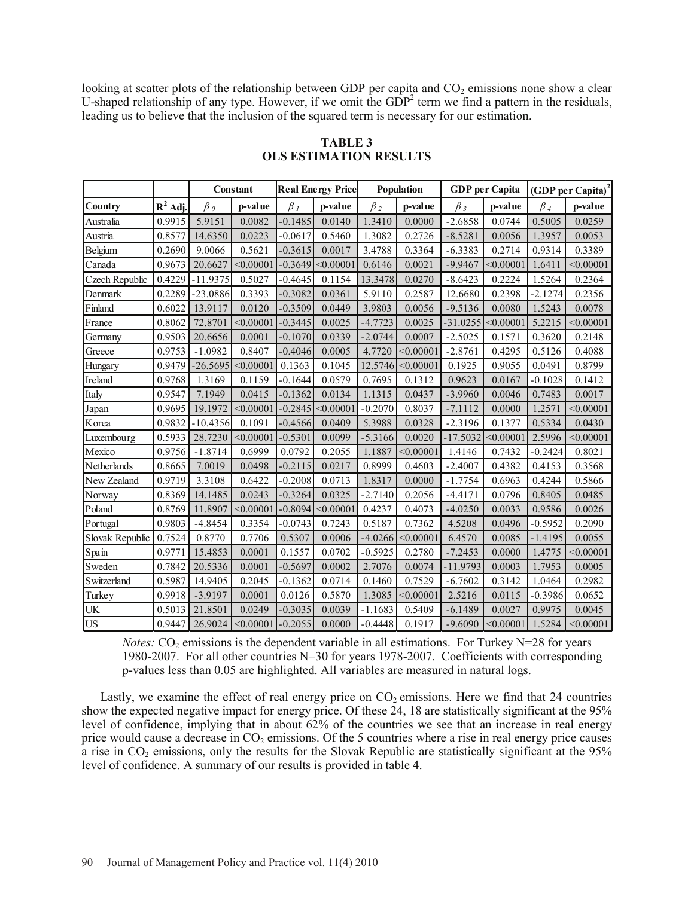looking at scatter plots of the relationship between GDP per capita and  $CO<sub>2</sub>$  emissions none show a clear U-shaped relationship of any type. However, if we omit the  $GDP<sup>2</sup>$  term we find a pattern in the residuals, leading us to believe that the inclusion of the squared term is necessary for our estimation.

|                 |            |                  | Constant               |           | <b>Real Energy Price</b> |           | Population       |            | <b>GDP</b> per Capita |           | $(GDPper Capita)2$ |
|-----------------|------------|------------------|------------------------|-----------|--------------------------|-----------|------------------|------------|-----------------------|-----------|--------------------|
| Country         | $R^2$ Adj. | $\beta_{\theta}$ | p-value                | $\beta_I$ | p-value                  | $\beta_2$ | p-value          | $\beta_3$  | p-value               | $\beta_4$ | p-value            |
| Australia       | 0.9915     | 5.9151           | 0.0082                 | $-0.1485$ | 0.0140                   | 1.3410    | 0.0000           | $-2.6858$  | 0.0744                | 0.5005    | 0.0259             |
| Austria         | 0.8577     | 14.6350          | 0.0223                 | $-0.0617$ | 0.5460                   | 1.3082    | 0.2726           | $-8.5281$  | 0.0056                | 1.3957    | 0.0053             |
| Belgium         | 0.2690     | 9.0066           | 0.5621                 | $-0.3615$ | 0.0017                   | 3.4788    | 0.3364           | $-6.3383$  | 0.2714                | 0.9314    | 0.3389             |
| Canada          | 0.9673     | 20.6627          | < 0.00001              | $-0.3649$ | < 0.00001                | 0.6146    | 0.0021           | $-9.9467$  | < 0.00001             | 1.6411    | < 0.00001          |
| Czech Republic  | 0.4229     | $-11.9375$       | 0.5027                 | $-0.4645$ | 0.1154                   | 13.3478   | 0.0270           | $-8.6423$  | 0.2224                | 1.5264    | 0.2364             |
| Denmark         | 0.2289     | $-23.0886$       | 0.3393                 | $-0.3082$ | 0.0361                   | 5.9110    | 0.2587           | 12.6680    | 0.2398                | $-2.1274$ | 0.2356             |
| Finland         | 0.6022     | 13.9117          | 0.0120                 | $-0.3509$ | 0.0449                   | 3.9803    | 0.0056           | $-9.5136$  | 0.0080                | 1.5243    | 0.0078             |
| France          | 0.8062     | 72.8701          | < 0.00001              | $-0.3445$ | 0.0025                   | $-4.7723$ | 0.0025           | $-31.0255$ | < 0.00001             | 5.2215    | < 0.00001          |
| Germany         | 0.9503     | 20.6656          | 0.0001                 | $-0.1070$ | 0.0339                   | $-2.0744$ | 0.0007           | $-2.5025$  | 0.1571                | 0.3620    | 0.2148             |
| Greece          | 0.9753     | $-1.0982$        | 0.8407                 | $-0.4046$ | 0.0005                   | 4.7720    | < 0.00001        | $-2.8761$  | 0.4295                | 0.5126    | 0.4088             |
| Hungary         | 0.9479     | $-26.5695$       | < 0.00001              | 0.1363    | 0.1045                   | 12.5746   | < 0.00001        | 0.1925     | 0.9055                | 0.0491    | 0.8799             |
| Ireland         | 0.9768     | 1.3169           | 0.1159                 | $-0.1644$ | 0.0579                   | 0.7695    | 0.1312           | 0.9623     | 0.0167                | $-0.1028$ | 0.1412             |
| Italy           | 0.9547     | 7.1949           | 0.0415                 | $-0.1362$ | 0.0134                   | 1.1315    | 0.0437           | $-3.9960$  | 0.0046                | 0.7483    | 0.0017             |
| Japan           | 0.9695     | 19.1972          | < 0.00001              | $-0.2845$ | < 0.00001                | $-0.2070$ | 0.8037           | $-7.1112$  | 0.0000                | 1.2571    | < 0.00001          |
| Korea           | 0.9832     | $-10.4356$       | 0.1091                 | $-0.4566$ | 0.0409                   | 5.3988    | 0.0328           | $-2.3196$  | 0.1377                | 0.5334    | 0.0430             |
| Luxembourg      | 0.5933     | 28.7230          | < 0.00001              | $-0.5301$ | 0.0099                   | $-5.3166$ | 0.0020           | $-17.5032$ | < 0.00001             | 2.5996    | < 0.00001          |
| Mexico          | 0.9756     | $-1.8714$        | 0.6999                 | 0.0792    | 0.2055                   | 1.1887    | $<$ 0.00001 $\,$ | 1.4146     | 0.7432                | $-0.2424$ | 0.8021             |
| Netherlands     | 0.8665     | 7.0019           | 0.0498                 | $-0.2115$ | 0.0217                   | 0.8999    | 0.4603           | $-2.4007$  | 0.4382                | 0.4153    | 0.3568             |
| New Zealand     | 0.9719     | 3.3108           | 0.6422                 | $-0.2008$ | 0.0713                   | 1.8317    | 0.0000           | $-1.7754$  | 0.6963                | 0.4244    | 0.5866             |
| Norway          | 0.8369     | 14.1485          | 0.0243                 | $-0.3264$ | 0.0325                   | $-2.7140$ | 0.2056           | $-4.4171$  | 0.0796                | 0.8405    | 0.0485             |
| Poland          | 0.8769     | 11.8907          | < 0.00001              | $-0.8094$ | < 0.00001                | 0.4237    | 0.4073           | $-4.0250$  | 0.0033                | 0.9586    | 0.0026             |
| Portugal        | 0.9803     | $-4.8454$        | 0.3354                 | $-0.0743$ | 0.7243                   | 0.5187    | 0.7362           | 4.5208     | 0.0496                | $-0.5952$ | 0.2090             |
| Slovak Republic | 0.7524     | 0.8770           | 0.7706                 | 0.5307    | 0.0006                   | $-4.0266$ | < 0.00001        | 6.4570     | 0.0085                | $-1.4195$ | 0.0055             |
| Spain           | 0.9771     | 15.4853          | 0.0001                 | 0.1557    | 0.0702                   | $-0.5925$ | 0.2780           | $-7.2453$  | 0.0000                | 1.4775    | < 0.00001          |
| Sweden          | 0.7842     | 20.5336          | 0.0001                 | $-0.5697$ | 0.0002                   | 2.7076    | 0.0074           | $-11.9793$ | 0.0003                | 1.7953    | 0.0005             |
| Switzerland     | 0.5987     | 14.9405          | 0.2045                 | $-0.1362$ | 0.0714                   | 0.1460    | 0.7529           | $-6.7602$  | 0.3142                | 1.0464    | 0.2982             |
| Turkey          | 0.9918     | $-3.9197$        | 0.0001                 | 0.0126    | 0.5870                   | 1.3085    | <,0.00001        | 2.5216     | 0.0115                | $-0.3986$ | 0.0652             |
| UK              | 0.5013     | 21.8501          | 0.0249                 | $-0.3035$ | 0.0039                   | $-1.1683$ | 0.5409           | $-6.1489$  | 0.0027                | 0.9975    | 0.0045             |
| <b>US</b>       | 0.9447     | 26.9024          | $\leq 0.00001$ -0.2055 |           | 0.0000                   | $-0.4448$ | 0.1917           | $-9.6090$  | < 0.00001             | 1.5284    | < 0.00001          |

## **TABLE 3 OLS ESTIMATION RESULTS**

*Notes:*  $CO<sub>2</sub>$  emissions is the dependent variable in all estimations. For Turkey N=28 for years 1980-2007. For all other countries N=30 for years 1978-2007. Coefficients with corresponding p-values less than 0.05 are highlighted. All variables are measured in natural logs.

Lastly, we examine the effect of real energy price on  $CO<sub>2</sub>$  emissions. Here we find that 24 countries show the expected negative impact for energy price. Of these 24, 18 are statistically significant at the 95% level of confidence, implying that in about 62% of the countries we see that an increase in real energy price would cause a decrease in  $CO<sub>2</sub>$  emissions. Of the 5 countries where a rise in real energy price causes a rise in  $CO<sub>2</sub>$  emissions, only the results for the Slovak Republic are statistically significant at the 95% level of confidence. A summary of our results is provided in table 4.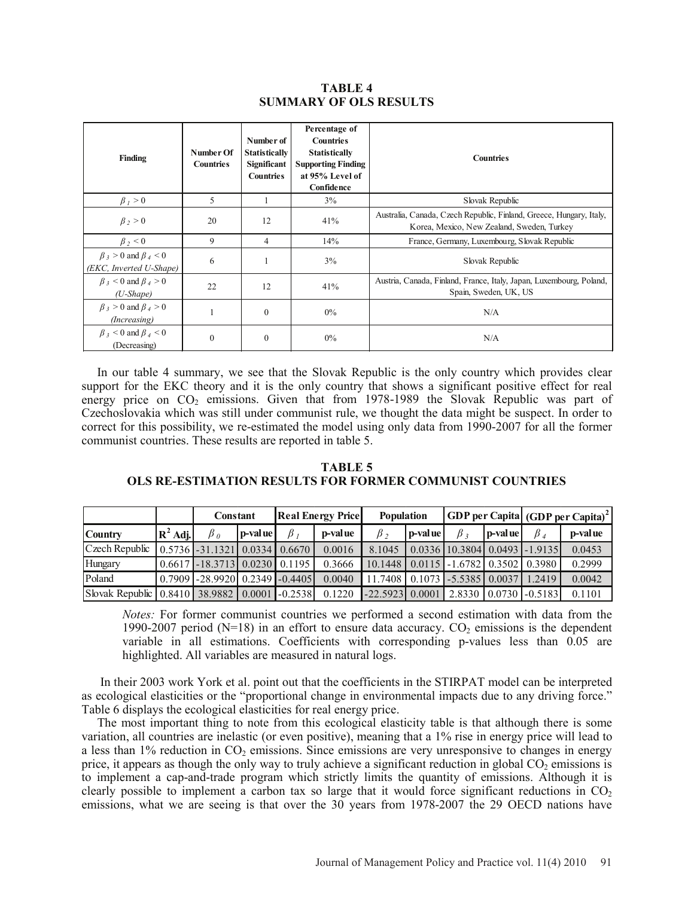## **TABLE 4 SUMMARY OF OLS RESULTS**

| Finding                                                    | Number Of<br><b>Countries</b> | Number of<br><b>Statistically</b><br>Significant<br><b>Countries</b> | Percentage of<br><b>Countries</b><br><b>Statistically</b><br><b>Supporting Finding</b><br>at 95% Level of<br>Confidence | <b>Countries</b>                                                                                                  |
|------------------------------------------------------------|-------------------------------|----------------------------------------------------------------------|-------------------------------------------------------------------------------------------------------------------------|-------------------------------------------------------------------------------------------------------------------|
| $\beta_1 > 0$                                              | 5                             |                                                                      | 3%                                                                                                                      | Slovak Republic                                                                                                   |
| $\beta$ , > 0                                              | 20                            | 12                                                                   | 41%                                                                                                                     | Australia, Canada, Czech Republic, Finland, Greece, Hungary, Italy,<br>Korea, Mexico, New Zealand, Sweden, Turkey |
| $\beta_2$ < 0                                              | 9                             | 4                                                                    | 14%                                                                                                                     | France, Germany, Luxembourg, Slovak Republic                                                                      |
| $\beta$ 3 > 0 and $\beta$ 4 < 0<br>(EKC, Inverted U-Shape) | 6                             |                                                                      | 3%                                                                                                                      | Slovak Republic                                                                                                   |
| $\beta$ 3 < 0 and $\beta$ 4 > 0<br>$(U$ -Shape)            | 22                            | 12                                                                   | 41%                                                                                                                     | Austria, Canada, Finland, France, Italy, Japan, Luxembourg, Poland,<br>Spain, Sweden, UK, US                      |
| $\beta_3 > 0$ and $\beta_4 > 0$<br>(Increasing)            |                               | $\theta$                                                             | 0%                                                                                                                      | N/A                                                                                                               |
| $\beta$ 3 < 0 and $\beta$ 4 < 0<br>(Decreasing)            | $\theta$                      | $\theta$                                                             | $0\%$                                                                                                                   | N/A                                                                                                               |

 In our table 4 summary, we see that the Slovak Republic is the only country which provides clear support for the EKC theory and it is the only country that shows a significant positive effect for real energy price on CO<sub>2</sub> emissions. Given that from 1978-1989 the Slovak Republic was part of Czechoslovakia which was still under communist rule, we thought the data might be suspect. In order to correct for this possibility, we re-estimated the model using only data from 1990-2007 for all the former communist countries. These results are reported in table 5.

| TABLE 5                                                         |
|-----------------------------------------------------------------|
| <b>OLS RE-ESTIMATION RESULTS FOR FORMER COMMUNIST COUNTRIES</b> |

|                                               |            | Constant                                                 |         | <b>Real Energy Price</b> |         | <b>Population</b>                            |          |                                       |         | <b>GDP</b> per Capita (GDP per Capita) <sup>2</sup> |         |
|-----------------------------------------------|------------|----------------------------------------------------------|---------|--------------------------|---------|----------------------------------------------|----------|---------------------------------------|---------|-----------------------------------------------------|---------|
| <b>Country</b>                                | $R^2$ Adj. | $\beta$ o                                                | p-value | $\beta$ .                | p-value | $\beta_2$                                    | p-val ue | $\beta$ :                             | p-value | $\beta_A$                                           | p-value |
| Czech Republic                                |            | $\mid 0.5736 \mid -31.1321 \mid 0.0334 \mid 0.6670 \mid$ |         |                          | 0.0016  | 8.1045                                       |          | $0.0336$   10.3804   0.0493   -1.9135 |         |                                                     | 0.0453  |
| Hungary                                       |            | $0.6617$ - 18.3713 0.0230 0.1195                         |         |                          | 0.3666  | 10.1448   0.0115   -1.6782   0.3502   0.3980 |          |                                       |         |                                                     | 0.2999  |
| Poland                                        |            | $0.7909$ -28.9920 0.2349 -0.4405                         |         |                          | 0.0040  | 11.7408 0.1073 -5.5385 0.0037                |          |                                       |         | 1.2419                                              | 0.0042  |
| Slovak Republic 0.8410 38.9882 0.0001 -0.2538 |            |                                                          |         |                          | 0.1220  | $-22.5923$                                   | 0.0001   |                                       |         | 2.8330 0.0730 -0.5183                               | 0.1101  |

*Notes:* For former communist countries we performed a second estimation with data from the 1990-2007 period (N=18) in an effort to ensure data accuracy.  $CO<sub>2</sub>$  emissions is the dependent variable in all estimations. Coefficients with corresponding p-values less than 0.05 are highlighted. All variables are measured in natural logs.

In their 2003 work York et al. point out that the coefficients in the STIRPAT model can be interpreted as ecological elasticities or the "proportional change in environmental impacts due to any driving force." Table 6 displays the ecological elasticities for real energy price.

The most important thing to note from this ecological elasticity table is that although there is some variation, all countries are inelastic (or even positive), meaning that a 1% rise in energy price will lead to a less than  $1\%$  reduction in  $CO<sub>2</sub>$  emissions. Since emissions are very unresponsive to changes in energy price, it appears as though the only way to truly achieve a significant reduction in global  $CO<sub>2</sub>$  emissions is to implement a cap-and-trade program which strictly limits the quantity of emissions. Although it is clearly possible to implement a carbon tax so large that it would force significant reductions in  $CO<sub>2</sub>$ emissions, what we are seeing is that over the 30 years from 1978-2007 the 29 OECD nations have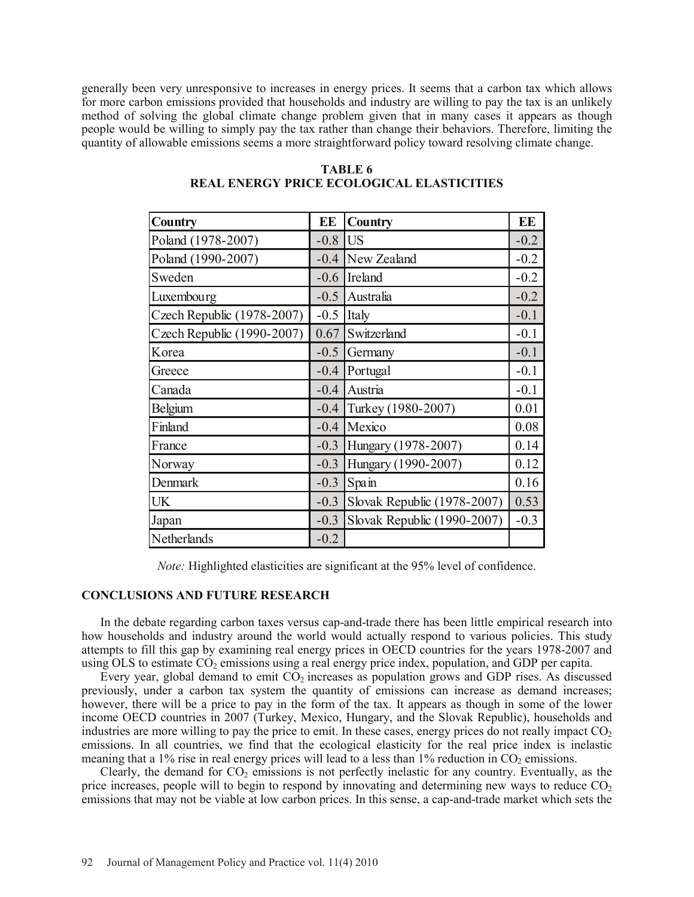generally been very unresponsive to increases in energy prices. It seems that a carbon tax which allows for more carbon emissions provided that households and industry are willing to pay the tax is an unlikely method of solving the global climate change problem given that in many cases it appears as though people would be willing to simply pay the tax rather than change their behaviors. Therefore, limiting the quantity of allowable emissions seems a more straightforward policy toward resolving climate change.

| Country                    | EE     | <b>Country</b>              | EE     |
|----------------------------|--------|-----------------------------|--------|
| Poland (1978-2007)         | $-0.8$ | lus                         | $-0.2$ |
| Poland (1990-2007)         | $-0.4$ | New Zealand                 | $-0.2$ |
| Sweden                     | $-0.6$ | Ireland                     | $-0.2$ |
| Luxembourg                 | $-0.5$ | Australia                   | $-0.2$ |
| Czech Republic (1978-2007) | $-0.5$ | Italy                       | $-0.1$ |
| Czech Republic (1990-2007) | 0.67   | Switzerland                 | $-0.1$ |
| Korea                      | $-0.5$ | Germany                     | $-0.1$ |
| Greece                     | $-0.4$ | Portugal                    | $-0.1$ |
| Canada                     | $-0.4$ | Austria                     | $-0.1$ |
| Belgium                    | $-0.4$ | Turkey (1980-2007)          | 0.01   |
| Finland                    | $-0.4$ | Mexico                      | 0.08   |
| France                     | $-0.3$ | Hungary (1978-2007)         | 0.14   |
| Norway                     | $-0.3$ | Hungary (1990-2007)         | 0.12   |
| Denmark                    | $-0.3$ | Spain                       | 0.16   |
| <b>UK</b>                  | $-0.3$ | Slovak Republic (1978-2007) | 0.53   |
| Japan                      | $-0.3$ | Slovak Republic (1990-2007) | $-0.3$ |
| Netherlands                | $-0.2$ |                             |        |

## **TABLE 6 REAL ENERGY PRICE ECOLOGICAL ELASTICITIES**

*Note:* Highlighted elasticities are significant at the 95% level of confidence.

### **CONCLUSIONS AND FUTURE RESEARCH**

In the debate regarding carbon taxes versus cap-and-trade there has been little empirical research into how households and industry around the world would actually respond to various policies. This study attempts to fill this gap by examining real energy prices in OECD countries for the years 1978-2007 and using OLS to estimate  $CO<sub>2</sub>$  emissions using a real energy price index, population, and GDP per capita.

Every year, global demand to emit  $CO<sub>2</sub>$  increases as population grows and GDP rises. As discussed previously, under a carbon tax system the quantity of emissions can increase as demand increases; however, there will be a price to pay in the form of the tax. It appears as though in some of the lower income OECD countries in 2007 (Turkey, Mexico, Hungary, and the Slovak Republic), households and industries are more willing to pay the price to emit. In these cases, energy prices do not really impact  $CO<sub>2</sub>$ emissions. In all countries, we find that the ecological elasticity for the real price index is inelastic meaning that a 1% rise in real energy prices will lead to a less than  $1\%$  reduction in CO<sub>2</sub> emissions.

Clearly, the demand for  $CO<sub>2</sub>$  emissions is not perfectly inelastic for any country. Eventually, as the price increases, people will to begin to respond by innovating and determining new ways to reduce  $CO<sub>2</sub>$ emissions that may not be viable at low carbon prices. In this sense, a cap-and-trade market which sets the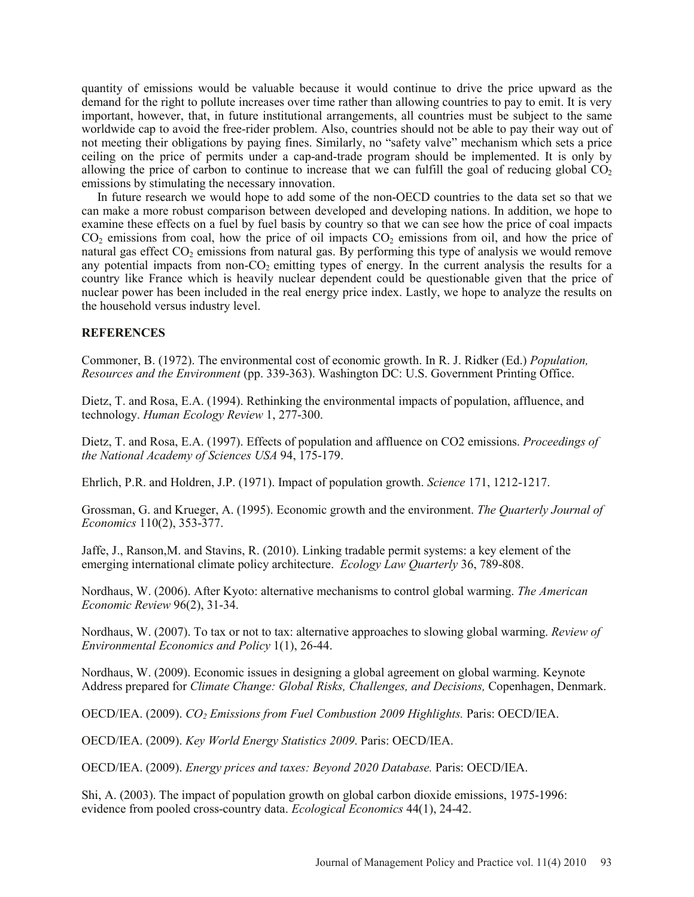quantity of emissions would be valuable because it would continue to drive the price upward as the demand for the right to pollute increases over time rather than allowing countries to pay to emit. It is very important, however, that, in future institutional arrangements, all countries must be subject to the same worldwide cap to avoid the free-rider problem. Also, countries should not be able to pay their way out of not meeting their obligations by paying fines. Similarly, no "safety valve" mechanism which sets a price ceiling on the price of permits under a cap-and-trade program should be implemented. It is only by allowing the price of carbon to continue to increase that we can fulfill the goal of reducing global  $CO<sub>2</sub>$ emissions by stimulating the necessary innovation.

In future research we would hope to add some of the non-OECD countries to the data set so that we can make a more robust comparison between developed and developing nations. In addition, we hope to examine these effects on a fuel by fuel basis by country so that we can see how the price of coal impacts  $CO<sub>2</sub>$  emissions from coal, how the price of oil impacts  $CO<sub>2</sub>$  emissions from oil, and how the price of natural gas effect  $CO<sub>2</sub>$  emissions from natural gas. By performing this type of analysis we would remove any potential impacts from non- $CO<sub>2</sub>$  emitting types of energy. In the current analysis the results for a country like France which is heavily nuclear dependent could be questionable given that the price of nuclear power has been included in the real energy price index. Lastly, we hope to analyze the results on the household versus industry level.

### **REFERENCES**

Commoner, B. (1972). The environmental cost of economic growth. In R. J. Ridker (Ed.) *Population, Resources and the Environment* (pp. 339-363). Washington DC: U.S. Government Printing Office.

Dietz, T. and Rosa, E.A. (1994). Rethinking the environmental impacts of population, affluence, and technology. *Human Ecology Review* 1, 277-300.

Dietz, T. and Rosa, E.A. (1997). Effects of population and affluence on CO2 emissions. *Proceedings of the National Academy of Sciences USA* 94, 175-179.

Ehrlich, P.R. and Holdren, J.P. (1971). Impact of population growth. *Science* 171, 1212-1217.

Grossman, G. and Krueger, A. (1995). Economic growth and the environment. *The Quarterly Journal of Economics* 110(2), 353-377.

Jaffe, J., Ranson,M. and Stavins, R. (2010). Linking tradable permit systems: a key element of the emerging international climate policy architecture. *Ecology Law Quarterly* 36, 789-808.

Nordhaus, W. (2006). After Kyoto: alternative mechanisms to control global warming. *The American Economic Review* 96(2), 31-34.

Nordhaus, W. (2007). To tax or not to tax: alternative approaches to slowing global warming. *Review of Environmental Economics and Policy* 1(1), 26-44.

Nordhaus, W. (2009). Economic issues in designing a global agreement on global warming. Keynote Address prepared for *Climate Change: Global Risks, Challenges, and Decisions,* Copenhagen, Denmark.

OECD/IEA. (2009). *CO2 Emissions from Fuel Combustion 2009 Highlights.* Paris: OECD/IEA.

OECD/IEA. (2009). *Key World Energy Statistics 2009*. Paris: OECD/IEA.

OECD/IEA. (2009). *Energy prices and taxes: Beyond 2020 Database.* Paris: OECD/IEA.

Shi, A. (2003). The impact of population growth on global carbon dioxide emissions, 1975-1996: evidence from pooled cross-country data. *Ecological Economics* 44(1), 24-42.